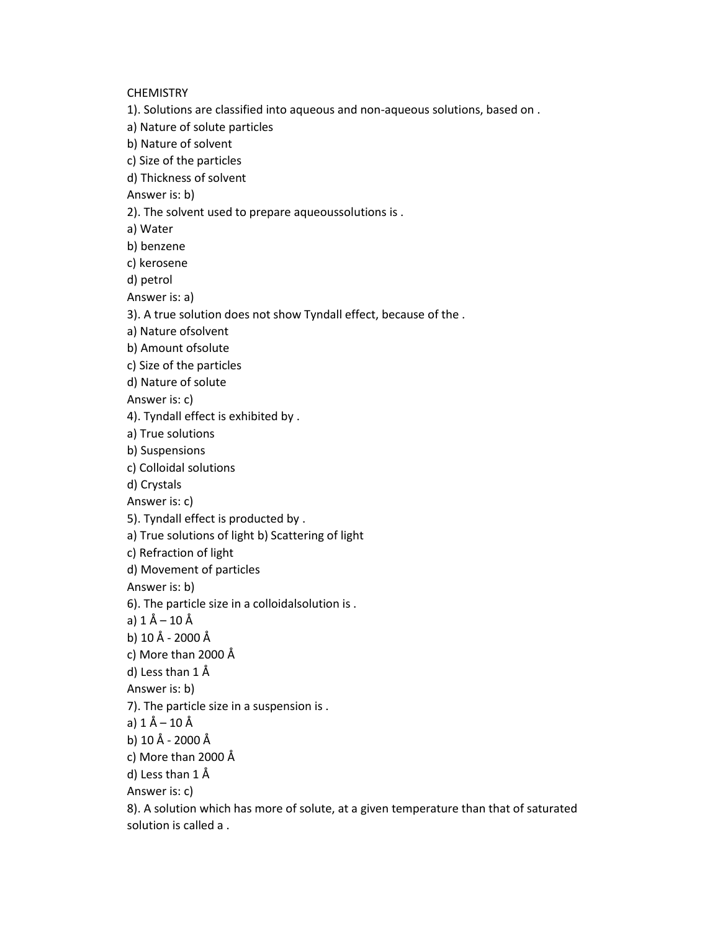**CHEMISTRY** 

- 1). Solutions are classified into aqueous and non-aqueous solutions, based on .
- a) Nature of solute particles
- b) Nature of solvent
- c) Size of the particles
- d) Thickness of solvent
- Answer is: b)
- 2). The solvent used to prepare aqueoussolutions is .
- a) Water
- b) benzene
- c) kerosene
- d) petrol
- Answer is: a)
- 3). A true solution does not show Tyndall effect, because of the .
- a) Nature ofsolvent
- b) Amount ofsolute
- c) Size of the particles
- d) Nature of solute
- Answer is: c)
- 4). Tyndall effect is exhibited by .
- a) True solutions
- b) Suspensions
- c) Colloidal solutions
- d) Crystals
- Answer is: c)
- 5). Tyndall effect is producted by .
- a) True solutions of light b) Scattering of light
- c) Refraction of light
- d) Movement of particles
- Answer is: b)
- 6). The particle size in a colloidalsolution is .
- a) 1 Å 10 Å
- b) 10 Å 2000 Å
- c) More than 2000 Å
- d) Less than 1 Å
- Answer is: b)
- 7). The particle size in a suspension is .
- a)  $1 \text{ Å} 10 \text{ Å}$
- b) 10 Å 2000 Å
- c) More than 2000 Å
- d) Less than 1 Å
- Answer is: c)
- 8). A solution which has more of solute, at a given temperature than that of saturated solution is called a .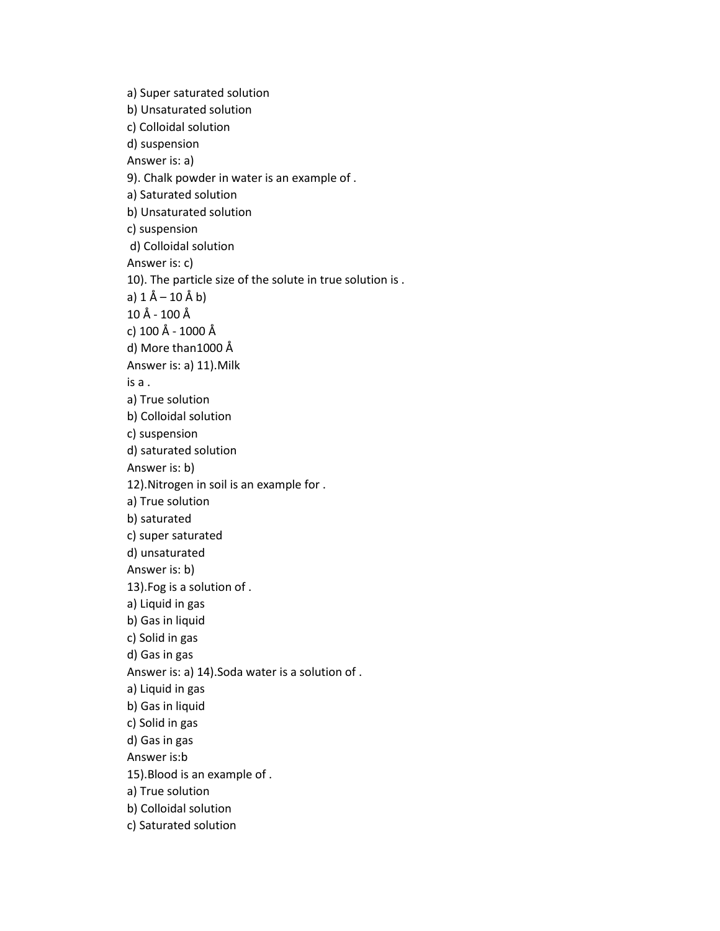a) Super saturated solution b) Unsaturated solution c) Colloidal solution d) suspension Answer is: a) 9). Chalk powder in water is an example of . a) Saturated solution b) Unsaturated solution c) suspension d) Colloidal solution Answer is: c) 10). The particle size of the solute in true solution is . a) 1 Å – 10 Å b) 10 Å - 100 Å c) 100 Å - 1000 Å d) More than1000 Å Answer is: a) 11).Milk is a . a) True solution b) Colloidal solution c) suspension d) saturated solution Answer is: b) 12).Nitrogen in soil is an example for . a) True solution b) saturated c) super saturated d) unsaturated Answer is: b) 13).Fog is a solution of . a) Liquid in gas b) Gas in liquid c) Solid in gas d) Gas in gas Answer is: a) 14).Soda water is a solution of . a) Liquid in gas b) Gas in liquid c) Solid in gas d) Gas in gas Answer is:b 15).Blood is an example of . a) True solution b) Colloidal solution c) Saturated solution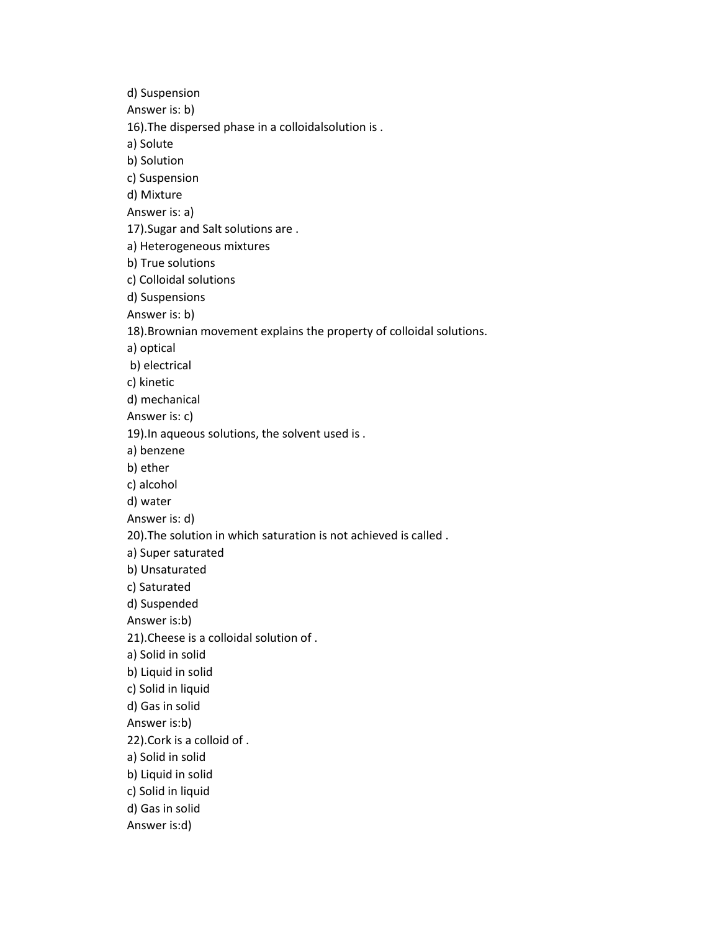d) Suspension Answer is: b) 16).The dispersed phase in a colloidalsolution is . a) Solute b) Solution c) Suspension d) Mixture Answer is: a) 17).Sugar and Salt solutions are . a) Heterogeneous mixtures b) True solutions c) Colloidal solutions d) Suspensions Answer is: b) 18).Brownian movement explains the property of colloidal solutions. a) optical b) electrical c) kinetic d) mechanical Answer is: c) 19).In aqueous solutions, the solvent used is . a) benzene b) ether c) alcohol d) water Answer is: d) 20).The solution in which saturation is not achieved is called . a) Super saturated b) Unsaturated c) Saturated d) Suspended Answer is:b) 21).Cheese is a colloidal solution of . a) Solid in solid b) Liquid in solid c) Solid in liquid d) Gas in solid Answer is:b) 22).Cork is a colloid of . a) Solid in solid b) Liquid in solid c) Solid in liquid d) Gas in solid Answer is:d)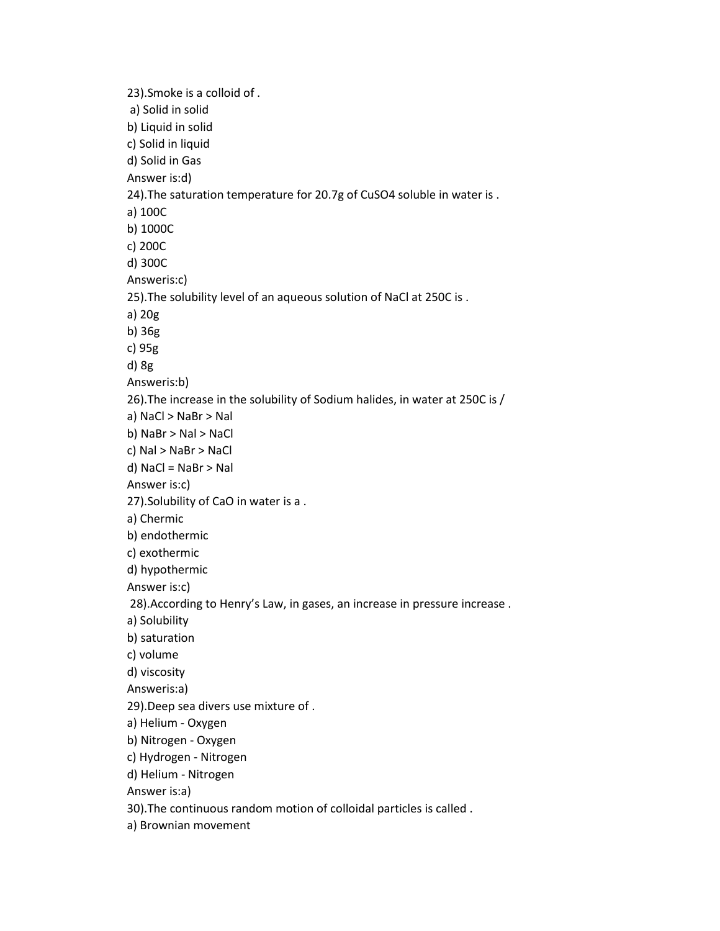23).Smoke is a colloid of . a) Solid in solid b) Liquid in solid c) Solid in liquid d) Solid in Gas Answer is:d) 24).The saturation temperature for 20.7g of CuSO4 soluble in water is . a) 100C b) 1000C c) 200C d) 300C Answeris:c) 25).The solubility level of an aqueous solution of NaCl at 250C is . a) 20g b) 36g c) 95g d) 8g Answeris:b) 26).The increase in the solubility of Sodium halides, in water at 250C is / a) NaCl > NaBr > Nal b) NaBr > Nal > NaCl c) Nal > NaBr > NaCl d) NaCl = NaBr > Nal Answer is:c) 27).Solubility of CaO in water is a . a) Chermic b) endothermic c) exothermic d) hypothermic Answer is:c) 28).According to Henry's Law, in gases, an increase in pressure increase . a) Solubility b) saturation c) volume d) viscosity Answeris:a) 29).Deep sea divers use mixture of . a) Helium - Oxygen b) Nitrogen - Oxygen c) Hydrogen - Nitrogen d) Helium - Nitrogen Answer is:a) 30).The continuous random motion of colloidal particles is called . a) Brownian movement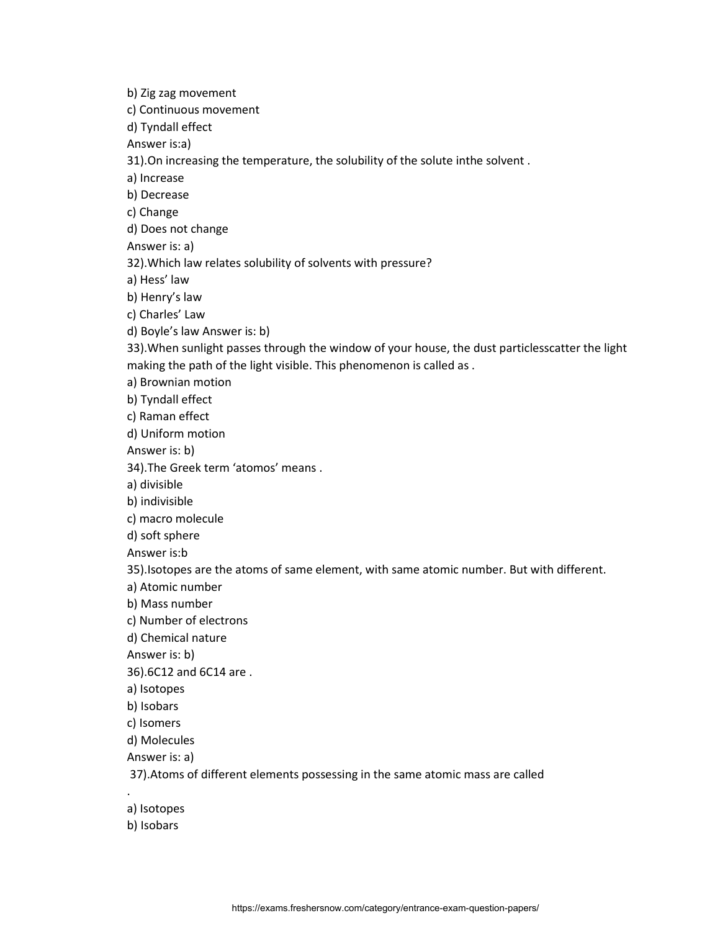b) Zig zag movement c) Continuous movement d) Tyndall effect Answer is:a) 31).On increasing the temperature, the solubility of the solute inthe solvent . a) Increase b) Decrease c) Change d) Does not change Answer is: a) 32).Which law relates solubility of solvents with pressure? a) Hess' law b) Henry's law c) Charles' Law d) Boyle's law Answer is: b) 33).When sunlight passes through the window of your house, the dust particlesscatter the light making the path of the light visible. This phenomenon is called as . a) Brownian motion b) Tyndall effect c) Raman effect d) Uniform motion Answer is: b) 34).The Greek term 'atomos' means . a) divisible b) indivisible c) macro molecule d) soft sphere Answer is:b 35).Isotopes are the atoms of same element, with same atomic number. But with different. a) Atomic number b) Mass number c) Number of electrons d) Chemical nature Answer is: b) 36).6C12 and 6C14 are . a) Isotopes b) Isobars c) Isomers d) Molecules Answer is: a) 37).Atoms of different elements possessing in the same atomic mass are called . a) Isotopes

b) Isobars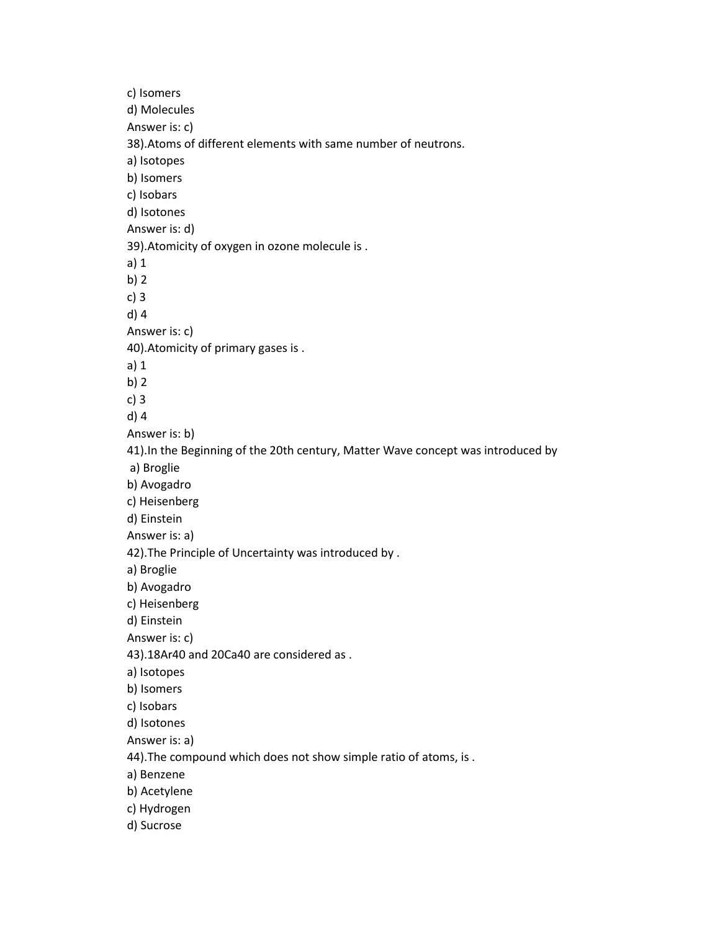c) Isomers d) Molecules Answer is: c) 38).Atoms of different elements with same number of neutrons. a) Isotopes b) Isomers c) Isobars d) Isotones Answer is: d) 39).Atomicity of oxygen in ozone molecule is . a) 1 b) 2 c) 3 d) 4 Answer is: c) 40).Atomicity of primary gases is . a) 1 b) 2 c) 3 d) 4 Answer is: b) 41).In the Beginning of the 20th century, Matter Wave concept was introduced by a) Broglie b) Avogadro c) Heisenberg d) Einstein Answer is: a) 42).The Principle of Uncertainty was introduced by . a) Broglie b) Avogadro c) Heisenberg d) Einstein Answer is: c) 43).18Ar40 and 20Ca40 are considered as . a) Isotopes b) Isomers c) Isobars d) Isotones Answer is: a) 44).The compound which does not show simple ratio of atoms, is . a) Benzene b) Acetylene c) Hydrogen d) Sucrose